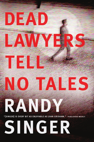# SINGER

"[SINGER] IS EVERY BIT AS ENJOYABLE AS JOHN GRISHAM." - PUBLISHERS WEEKLY



**DEATE**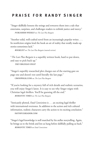## **Praise for R andy S inger**

"Singer skillfully loosens the strings and reweaves them into a tale that entertains, surprises, and challenges readers to rethink justice and mercy." *Publishers Weekly* on *The Last Plea Bargain*

"Another solid, well-crafted novel from an increasingly popular writer. . . . Its nonfiction origins lend the book an air of reality that totally made-up stories sometimes lack."

*Booklist* on *The Last Plea Bargain* (starred review)

"*The Last Plea Bargain* is a superbly written book, hard to put down, and easy to pick back up."

*The Virginian-Pilot*

"Singer's superbly researched plot charges out of the starting gate on page one and doesn't rest until literally the last page."

**Crosswalk.com** on *The Last Plea Bargain*

"If you're looking for a mystery full of rich details and realistic scenarios, you will enjoy Singer's latest. It is easy to see why Singer reigns with Christian legal thrillers. You'll be guessing till the end."

*Romantic Times* on *The Last Plea Bargain*

"Intricately plotted, *Fatal Convictions* is . . . an exciting legal thriller with international overtones. In addition to the action and rich cultural information, realistic characters carry the action to its exciting conclusion."

**Faithfulreader.com**

"Singer's legal knowledge is well matched by his stellar storytelling. Again, he brings us to the brink and lets us hang before skillfully pulling us back." *Romantic Times* on *Fatal Convictions*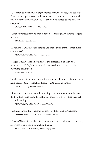"Get ready to wrestle with larger themes of truth, justice, and courage. Between the legal tension in the courtroom scenes and the emotional tension between the characters, readers will be riveted to the final few chapters."

**Crosswalk.com** on *Fatal Convictions*

"Great suspense; gritty, believable action . . . make [*False Witness*] Singer's best yet."

*Booklist* (starred review)

"A book that will entertain readers and make them think—what more can one ask?"

*Publishers Weekly* on *The Justice Game*

"Singer artfully crafts a novel that is the perfect mix of faith and suspense. . . . [*The Justice Game* is] fast-paced from the start to the surprising conclusion."

*Romantic Times*

"At the center of the heart-pounding action are the moral dilemmas that have become Singer's stock-in-trade. . . . An exciting thriller."

*Booklist* on *By Reason of Insanity*

"Singer hooks readers from the opening courtroom scene of this tasty thriller, then spurs them through a fast trot across a story line that just keeps delivering."

*Publishers Weekly* on *By Reason of Insanity*

"[A] legal thriller that matches up easily with the best of Grisham." **Christian Fiction Review** on *Irreparable Harm*

"*Directed Verdict* is a well-crafted courtroom drama with strong characters, surprising twists, and a compelling theme."

**Randy Alcorn,** bestselling author of *Safely Home*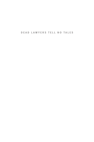### DEAD LAWYERS TELL NO TALES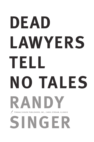## DEAD **lawyers tell no tales randy singer tyndale house publishers, inc., carol stream, illinois**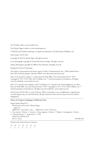Visit Tyndale online at www.tyndale.com.

Visit Randy Singer's website at www.randysinger.net.

*TYNDALE* and Tyndale's quill logo are registered trademarks of Tyndale House Publishers, Inc.

*Dead Lawyers Tell No Tales*

Copyright © 2013 by Randy Singer. All rights reserved.

Cover photograph copyright © David Oliver/Getty Images. All rights reserved.

Author photograph copyright © 2008 by Don Monteau. All rights reserved.

Designed by Dean H. Renninger

The author is represented by the literary agency of Alive Communications, Inc., 7680 Goddard Street, Suite 200, Colorado Springs, Colorado, 80920. www.alivecommunications.com.

Luke 19:10, quoted in chapter 2, is taken from the Holy Bible, *New International Version*, Copyright © 1973, 1978, 1984, 2011 by Biblica, Inc.<sup>™</sup> Used by permission of Zondervan. All rights reserved worldwide. www.zondervan.com.

John 15:13, quoted in the epilogue, and 2 Corinthians 5:17, quoted in the acknowledgments, are taken from the Holy Bible, *New International Version,® NIV.*® Copyright © 1973, 1978, 1984 by Biblica, Inc.™<br>Used by permission of Zondervan. All rights reserved worldwide. www.zondervan.com.

*Dead Lawyers Tell No Tales* is a work of fiction. Where real people, events, establishments, organizations, or locales appear, they are used fictitiously. All other elements of the novel are drawn from the author's imagination.

#### **Library of Congress Cataloging-in-Publication Data**

| Singer, Randy (Randy D.)                                                                    |            |
|---------------------------------------------------------------------------------------------|------------|
| Dead lawyers tell no tales / Randy Singer.                                                  |            |
| pages cm                                                                                    |            |
| ISBN 978-1-4143-8675-1 (hc) - ISBN 978-1-4143-7558-8 (sc)                                   |            |
| 1. Ex-convicts—Fiction. 2. Lawyers—Crimes against—Fiction. 3. Murder—Investigation—Fiction. |            |
| 4. Christian fiction. 5. Legal stories. I. Title.                                           |            |
| PS3619.I5725D34 2013                                                                        |            |
| $813'$ .6—dc23                                                                              | 2013001140 |

Printed in the United States of America

19 18 17 16 15 14 13 7 6 5 4 3 2 1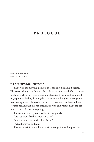### **Pro l ogue**

**Fifteen years ago Damascus, Syria**

#### **The screams wouldn't stop.**

They were ear-piercing, pathetic cries for help. Pleading. Begging. The voice belonged to Fatinah Najar, the woman he loved. Once a beautiful and enchanting voice, it was now distorted by pain and fear, pleading rapidly in Arabic, denying that she knew anything her interrogators were asking about. She was in the next cell over, another dark, mildewcovered hellhole just like his, smelling of feces and vomit. They had set it up so he could hear everything.

The Syrian guards questioned her in low growls.

"Do you work for the American CIA?"

"You are in love with Mr. Phoenix, no?"

"What have you told him?"

There was a sinister rhythm to their interrogation techniques. Sean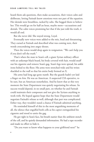heard them ask questions, then make accusations, their voices calm and deliberate, letting Fatinah know emotions were not part of the equation. Her denials were breathless, racked by sobs. She begged them to believe her. This would go on for half an hour, maybe more—accusations and denials. The calm voices promising her that if she just told the truth, it would all end.

But she never did. She stayed strong. Loyal.

Eventually new voices were added to the mix, loud and threatening. They cursed at Fatinah and described what was coming next, their words crescendoing into angry shouts.

Then the voices would drop again in resignation. "We can't help you if you don't tell the truth."

That's when the man in Sean's cell, a giant Syrian military officer with an unkempt black beard, his body covered with hair, would snuff out his cigarette and remove Sean's gag. Sean's legs were spread, his ankle irons bolted to the floor. His arms were stretched wide and his wrists shackled to the wall so that his entire body formed an X.

His arms had long ago gone numb. But the guards hadn't yet laid a finger on *him*. He was an American. A suspected CIA operative, to be sure, but an American nonetheless. And he knew that at this very moment the State Department was quietly negotiating his release. Its success would depend, in no small part, on whether he and Fatinah could maintain their composure and not give the Syrians anything to work with. He hoped against hope that the State Department would negotiate Fatinah's release as well, although that part was complicated. Either way, they wouldn't stand a chance if Fatinah admitted anything.

He reminded himself of this in the most anguishing moments of all, the silence that engulfed both cells as his captor extinguished his cigarette and stood to untie the gag.

He got right in Sean's face, his breath nastier than the ambient stench of the cell, and he quietly demanded information. He had a tape recorder and made no effort to hide it.

"Do you want to know what happens to your girlfriend next?" he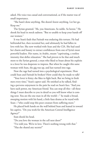asked. His voice was casual and conversational, as if the matter was of small importance.

"She hasn't done anything. She doesn't know anything. Let her go. Keep me."

The Syrian grunted. "Ah, you Americans. So noble. So heroic." He shook his head in mock sadness. "But so unable to keep your hands off our women."

It was Sean's fault that Fatinah was enduring this torture. He had befriended her, then recruited her, and ultimately he had fallen in love with her. She now worked with Sean and the CIA. She had used her charm and beauty to extract confidences from one of Syria's most powerful leaders. Her name, in Arabic, meant "captivating, a restless intensity that defies relaxation." She had proven to be that and much more to the Syrian general, a man who liked to boast about his exploits to a lover he was desperate to impress. But when he caught this same woman with Sean, the gig was up, and lust turned into rage.

Now the rage had turned into a psychological experiment. How could Sean and Fatinah be broken? How could they be made to talk?

"Your lover is feisty; she likes to fight back. But we bring in fresh men every time," Sean's captor said. He smirked as he talked, finding a perverse enjoyment in the pain he read on Sean's face. "And you have such power, my American friend. You can stop all this—all these things I must describe to you in detail so you will know what is coming next. You are the one man in all the world—" he made a broad, sweeping motion with his hand, a little faux drama as he toyed with Sean—"who could stop this poor creature from suffering more."

He placed both hands on the wall behind Sean and leaned in toward his captive. "Do you work for the American Central Intelligence Agency?"

Sean shook his head.

"Do you love the woman in the cell next door?"

"I've told you. We're in love. There's nothing wrong with that."

"Has she shared any secrets?"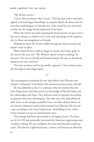"We all have secrets."

"Clever. But you know what I mean." The big man took a step back, sighed, and then began describing, in exquisite detail, the abuse and torture that would happen to Fatinah next. Sean closed his eyes and tried to shut out the images being implanted in his brain.

When the Syrian was done painting his brutal picture, he gave Sean a few more minutes to think it over. Sean took advantage of the opportunity to shout encouragement to Fatinah.

Shaking his head, the Syrian stuffed the gag into Sean's mouth and taped it back in place.

When Sean's shouts could no longer be heard, the Syrian spoke to the men in the next cell. "Mr. Phoenix claims to know nothing," he shouted. "He says we should ask Fatinah instead. He says we should do whatever we want with her."

The man sat down and lit up another cigarette. A few minutes later, the piercing screams began again.

### ///

The interrogation continued for two days before Sean Phoenix was released. Unharmed. Untouched. His national security secrets still safe.

He was debriefed at the U.S. embassy, where he learned that the State Department had disavowed any knowledge of Fatinah Najar and her relationship with Sean. They had not tried to negotiate her asylum or pressure Syria into releasing her. The only issue they had addressed with Syria, in the strongest possible terms, was their desired release of an innocent American businessman named Sean Phoenix. He was not a spy, according to the State Department. And falling in love with a Syrian woman was not an international crime.

The strategy had been determined at the highest levels. The director of the CIA had personally instructed the American negotiating team to admit nothing. He was confident that Sean and Fatinah would not crack. The director's right-hand man, a lawyer and bureaucrat who had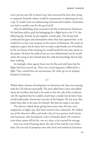never put his own life in harm's way, had convinced his boss that trying to negotiate Fatinah's release would be tantamount to admitting she was a spy. It would create an embarrassing international incident. Sometimes you had to sacrifice one for the good of all.

After his debriefing, Sean returned to his flat in downtown Damascus. He had been told to pack his belongings for a flight back to the U.S. the following day. Instead, he put together a battle plan. The Syrians had confiscated his guns and ammunition when they had captured him, so he would have to buy new weapons on the streets of Damascus. He wasn't an explosives expert, but he knew how to make crude bombs out of fertilizer. In the wee hours of the morning, he would launch his one-man attack on the prison. He knew his odds of success were infinitesimal, but he would rather die trying to free Fatinah than live with the knowledge that he had done nothing.

At midnight, three agents burst into his flat and told Sean that his flight had been moved up. There was a loud argument, followed by a fight. They carried him out unconscious. He woke up on an airplane headed to Germany.

#### ///

Within thirty minutes of setting foot on American soil, Sean was meeting with the CIA director personally. The man called Sean a hero and talked about the sacrifices that had to be made so that the rule of law could prevail. He regretted that he couldn't award Sean a medal, but he knew Sean would understand. Anonymity was part of the bargain. He was sorry they hadn't been able to do more for Fatinah. She had not made it out alive.

The director talked about giving Sean some time off and a new assignment at higher pay. But Sean turned in his credentials. He walked out of the director's office and made a list of every person, both Syrian and American, who had played a role in Fatinah's death. He vowed to cross those names off the list, one at a time, as he exacted his revenge.

Sean was tired of hearing about the rule of law and the cost of freedom. He was sick of pompous men who lived and worked in luxurious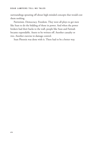surroundings spouting off about high-minded concepts that would cost them nothing.

Patriotism. Democracy. Freedom. They were all ploys to get men like Sean to do the bidding of those in power. And when the power brokers had their backs to the wall, people like Sean and Fatinah became expendable. Assets to be written off. Another casualty or two. Another exercise in damage control.

Sean Phoenix was done with it. There had to be a better way.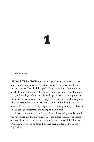# **1**

**Atlanta, Georgia**

**LANDON REED EMERGED** from his two-year prison sentence into the muggy warmth of an August morning wearing the jeans, gray T-shirt, and sandals that Kerri had dropped off the day before. He squinted as he left the dingy interior of the Fulton County jail and stepped into the crisp, brilliant light of the sun. He held a paper bag containing the suit and shoes he had worn to court two years earlier when he pleaded guilty. There were sunglasses in the bag as well, but Landon had decided not to wear them, concerned they might send the wrong message—a former all-star college quarterback still trying to play it cool.

He had been sentenced for his role in a point-shaving scandal, and it was not surprising that only one former teammate came for his release his best friend and center, a mountain of a man named Billy Thurston. While Landon served his time, Billy had been drafted by the Green Bay Packers.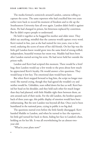The media formed a semicircle around Landon, cameras rolling to capture the scene. The same reporters who had crucified him two years earlier were back to record his moment of freedom and to rile up the Southeastern University fans all over again. Landon didn't hold it against them. He had changed in prison, his bitterness replaced by contrition. But he didn't expect people to understand.

He held it together as he hugged his mother and older sister. They didn't say anything, mindful that the cameras would capture every word. Kerri waited in line, just as she had waited for two years, true to her word, enduring the scorn of most of her old friends. On her hip was the little girl Landon knew would grow into the same kind of strong-willed, independent, beautiful woman her mom was. Maddie had been born after Landon started serving his term. He had never held her outside the prison walls.

Landon and Kerri had scripted this moment. There would be a brief hug; then Landon would say a few words to the press about how much he appreciated Kerri's loyalty. He would answer a few questions. They would keep it low-key. The emotional dam would burst later.

But when Kerri stepped forward to hug him, the script no longer mattered. She started crying, though they had agreed she wouldn't cry and neither would he. Unbidden, tears rolled down his face as well. Kerri buried her head on his shoulder, and they held each other for much longer than they had planned, with little Maddie right there between them, an arm around each of their necks. For the old Landon, the hotshot quarterback of three years ago, this public display of emotion would have been embarrassing. But the new Landon was beyond all that. Once you've been humiliated in the national press, crying in public is no big deal.

The questions started even before the little family disengaged. Kerri handed Maddie to Landon, and when he turned to face the reporters, his little girl turned her back to them, hiding her face in Landon's chest, holding on for her life. It was all overwhelming for an almost-twoyear-old.

"What're your plans now?"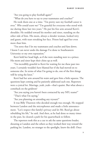"Are you going to play football again?"

"What do you have to say to your teammates and coaches?"

He took them one at a time. "I'm pretty sure my football career is over." *Who would want me?* "I'm grateful for everyone who stood with me during these last two years." He put his free arm around Kerri's shoulder. He nodded toward his mother and sister, standing on the other side of him. His mom, always a slender woman, looked wiry and gaunt, with tears streaking her face. Prison had aged her even more than him.

"I'm sorry that I let my teammates and coaches and fans down. I know I can never undo the damage I've done to Southeastern University or my own reputation."

Kerri held her head high, as if she were standing next to a prince. His mom and sister kept their chins up as well.

"I'm incredibly grateful to Kerri for waiting for me these past two years. I certainly wouldn't have blamed her if she had moved on to someone else. In terms of what I'm going to do, one of the first things will be tying the knot."

Kerri had her arm around his waist and gave him a little squeeze. The questions kept coming and he patiently addressed each one. Reporters were a cynical lot. Marriage, yeah, yeah—that's quaint. But what about a comeback on the gridiron?

"Are you saying you haven't been contacted by any NFL teams?"

"That's what I'm saying."

"Are you planning on attending any tryouts?"

It was Billy Thurston who decided enough was enough. He stepped between Landon and the microphones and made a little announcement. "Let's respect this family's privacy and let Mr. Reed go about rebuilding his life," he said. And then, as he had done so many times in the past, he cleared a path for his quarterback to follow.

The reporters took this as a cue to ask the same questions louder, shouting at Landon and the others as they worked their way toward the parking lot. Landon, no stranger to the spotlight, knew the drill. Once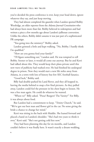you've decided the press conference is over, keep your head down, ignore whatever they say, and just keep moving.

They had almost completed the gauntlet when Landon spotted Bobby Woolridge, an older reporter from the *Atlanta Journal-Constitution* who had always been more than fair. Bobby believed in redemption and had written a piece a few months ago about Landon's jailhouse conversion. Unlike the others, Bobby didn't assume it was just part of a sophisticated PR campaign.

"You going into the ministry?" Bobby asked.

Landon grinned a little and kept walking. "No, Bobby. I hardly think I'm qualified."

"How are you gonna feed your family?"

"I'll figure something out," Landon said. He was tempted to tell Bobby. Sooner or later, it would all come out anyway. But he and Kerri had talked about this. They would keep their plans private until this new wave of publicity had washed over. He had finished his undergrad degree in prison. Now they would start a new life miles away from Atlanta, in a town with lots of history but few SEC football fanatics.

"Good luck," Bobby said.

Billy had double-parked his Land Rover, and they all hopped in, leaving the media behind to snap a few final pictures. As they pulled away, Landon could feel the pressure in his chest begin to loosen. He was a free man again. He could do whatever he wanted.

"Where to?" Billy asked. "Pizza? Burgers? The Varsity?" For Billy, it was always about food.

But Landon had a commitment to keep. "Trinity Church," he said. "We've got our best man and flower girl in the car. No sense giving the bride a chance to change her mind."

Kerri was sitting in the back with Maddie. She leaned forward and placed a hand on Landon's shoulder. "She's had two years to think it over," Kerri said. "She's not getting cold feet now."

They had been planning this day for six months, and Landon couldn't believe it was finally here. It wasn't exactly a dream wedding,